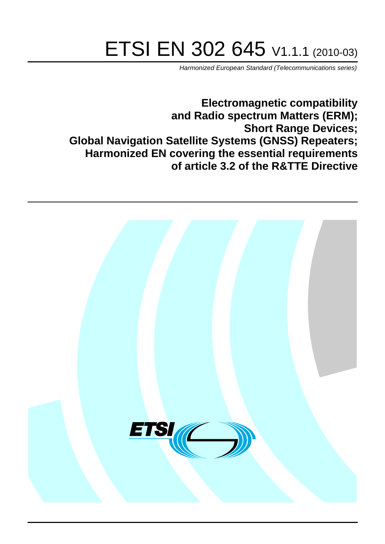# ETSI EN 302 645 V1.1.1 (2010-03)

*Harmonized European Standard (Telecommunications series)*

**Electromagnetic compatibility and Radio spectrum Matters (ERM); Short Range Devices; Global Navigation Satellite Systems (GNSS) Repeaters; Harmonized EN covering the essential requirements of article 3.2 of the R&TTE Directive**

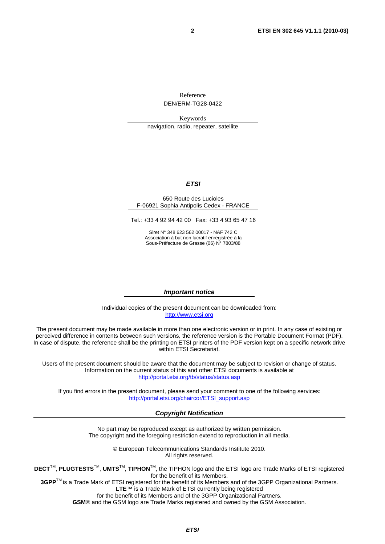Reference DEN/ERM-TG28-0422

Keywords

navigation, radio, repeater, satellite

#### *ETSI*

#### 650 Route des Lucioles F-06921 Sophia Antipolis Cedex - FRANCE

Tel.: +33 4 92 94 42 00 Fax: +33 4 93 65 47 16

Siret N° 348 623 562 00017 - NAF 742 C Association à but non lucratif enregistrée à la Sous-Préfecture de Grasse (06) N° 7803/88

#### *Important notice*

Individual copies of the present document can be downloaded from: [http://www.etsi.org](http://www.etsi.org/)

The present document may be made available in more than one electronic version or in print. In any case of existing or perceived difference in contents between such versions, the reference version is the Portable Document Format (PDF). In case of dispute, the reference shall be the printing on ETSI printers of the PDF version kept on a specific network drive within ETSI Secretariat.

Users of the present document should be aware that the document may be subject to revision or change of status. Information on the current status of this and other ETSI documents is available at <http://portal.etsi.org/tb/status/status.asp>

If you find errors in the present document, please send your comment to one of the following services: [http://portal.etsi.org/chaircor/ETSI\\_support.asp](http://portal.etsi.org/chaircor/ETSI_support.asp)

#### *Copyright Notification*

No part may be reproduced except as authorized by written permission. The copyright and the foregoing restriction extend to reproduction in all media.

> © European Telecommunications Standards Institute 2010. All rights reserved.

**DECT**TM, **PLUGTESTS**TM, **UMTS**TM, **TIPHON**TM, the TIPHON logo and the ETSI logo are Trade Marks of ETSI registered for the benefit of its Members.

**3GPP**TM is a Trade Mark of ETSI registered for the benefit of its Members and of the 3GPP Organizational Partners. **LTE**™ is a Trade Mark of ETSI currently being registered

for the benefit of its Members and of the 3GPP Organizational Partners.

**GSM**® and the GSM logo are Trade Marks registered and owned by the GSM Association.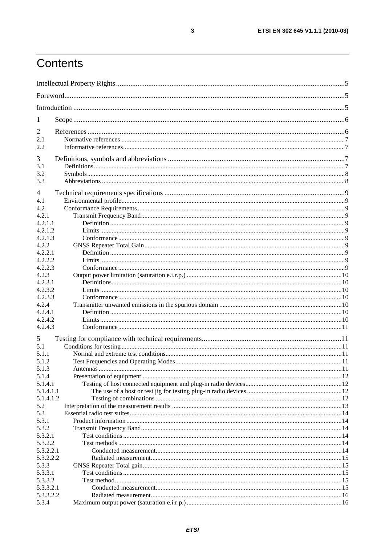## Contents

| 1                      |  |  |  |  |
|------------------------|--|--|--|--|
| $\overline{2}$         |  |  |  |  |
| 2.1                    |  |  |  |  |
| 2.2                    |  |  |  |  |
|                        |  |  |  |  |
| 3<br>3.1               |  |  |  |  |
| 3.2                    |  |  |  |  |
| 3.3                    |  |  |  |  |
|                        |  |  |  |  |
| 4                      |  |  |  |  |
| 4.1<br>4.2             |  |  |  |  |
| 4.2.1                  |  |  |  |  |
| 4.2.1.1                |  |  |  |  |
| 4.2.1.2                |  |  |  |  |
| 4.2.1.3                |  |  |  |  |
| 4.2.2                  |  |  |  |  |
| 4.2.2.1                |  |  |  |  |
| 4.2.2.2                |  |  |  |  |
| 4.2.2.3                |  |  |  |  |
| 4.2.3                  |  |  |  |  |
| 4.2.3.1                |  |  |  |  |
| 4.2.3.2                |  |  |  |  |
| 4.2.3.3                |  |  |  |  |
| 4.2.4                  |  |  |  |  |
| 4.2.4.1                |  |  |  |  |
| 4.2.4.2<br>4.2.4.3     |  |  |  |  |
|                        |  |  |  |  |
| 5                      |  |  |  |  |
| 5.1                    |  |  |  |  |
| 5.1.1                  |  |  |  |  |
| 5.1.2                  |  |  |  |  |
| 5.1.3                  |  |  |  |  |
| 5.1.4                  |  |  |  |  |
| 5.1.4.1                |  |  |  |  |
| 5.1.4.1.1<br>5.1.4.1.2 |  |  |  |  |
| 5.2                    |  |  |  |  |
| 5.3                    |  |  |  |  |
| 5.3.1                  |  |  |  |  |
| 5.3.2                  |  |  |  |  |
| 5.3.2.1                |  |  |  |  |
| 5.3.2.2                |  |  |  |  |
| 5.3.2.2.1              |  |  |  |  |
| 5.3.2.2.2              |  |  |  |  |
| 5.3.3                  |  |  |  |  |
| 5.3.3.1                |  |  |  |  |
| 5.3.3.2                |  |  |  |  |
| 5.3.3.2.1              |  |  |  |  |
| 5.3.3.2.2              |  |  |  |  |
| 5.3.4                  |  |  |  |  |

 $\overline{\mathbf{3}}$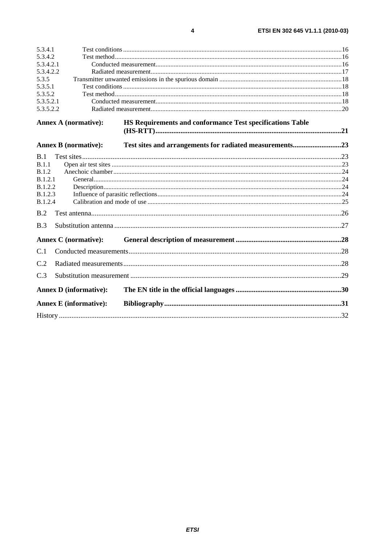| 5.3.4.1        |                               |                                                           |  |  |
|----------------|-------------------------------|-----------------------------------------------------------|--|--|
| 5.3.4.2        |                               |                                                           |  |  |
| 5.3.4.2.1      |                               |                                                           |  |  |
| 5.3.4.2.2      |                               |                                                           |  |  |
| 5.3.5          |                               |                                                           |  |  |
| 5.3.5.1        |                               |                                                           |  |  |
| 5.3.5.2        |                               |                                                           |  |  |
| 5.3.5.2.1      |                               |                                                           |  |  |
| 5.3.5.2.2      |                               |                                                           |  |  |
|                | <b>Annex A (normative):</b>   | HS Requirements and conformance Test specifications Table |  |  |
|                |                               |                                                           |  |  |
|                | <b>Annex B (normative):</b>   | Test sites and arrangements for radiated measurements23   |  |  |
| B.1            |                               |                                                           |  |  |
| B.1.1          |                               |                                                           |  |  |
| B.1.2          |                               |                                                           |  |  |
| <b>B.1.2.1</b> |                               |                                                           |  |  |
| B.1.2.2        |                               |                                                           |  |  |
| <b>B.1.2.3</b> |                               |                                                           |  |  |
| B.1.2.4        |                               |                                                           |  |  |
| B.2            |                               |                                                           |  |  |
| B.3            |                               |                                                           |  |  |
|                | <b>Annex C</b> (normative):   |                                                           |  |  |
| C.1            |                               |                                                           |  |  |
| C.2            |                               |                                                           |  |  |
| C.3            |                               |                                                           |  |  |
|                | <b>Annex D</b> (informative): |                                                           |  |  |
|                | <b>Annex E</b> (informative): |                                                           |  |  |
|                |                               |                                                           |  |  |
|                |                               |                                                           |  |  |

 $\overline{\mathbf{4}}$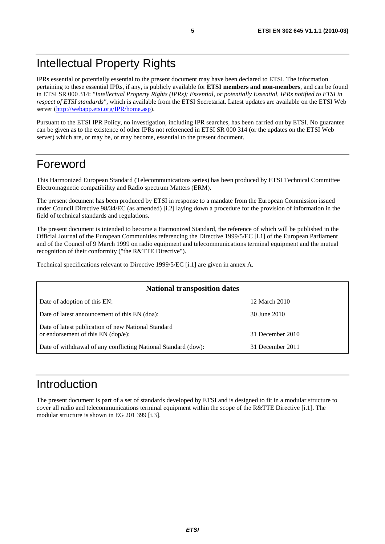## Intellectual Property Rights

IPRs essential or potentially essential to the present document may have been declared to ETSI. The information pertaining to these essential IPRs, if any, is publicly available for **ETSI members and non-members**, and can be found in ETSI SR 000 314: *"Intellectual Property Rights (IPRs); Essential, or potentially Essential, IPRs notified to ETSI in respect of ETSI standards"*, which is available from the ETSI Secretariat. Latest updates are available on the ETSI Web server [\(http://webapp.etsi.org/IPR/home.asp\)](http://webapp.etsi.org/IPR/home.asp).

Pursuant to the ETSI IPR Policy, no investigation, including IPR searches, has been carried out by ETSI. No guarantee can be given as to the existence of other IPRs not referenced in ETSI SR 000 314 (or the updates on the ETSI Web server) which are, or may be, or may become, essential to the present document.

## Foreword

This Harmonized European Standard (Telecommunications series) has been produced by ETSI Technical Committee Electromagnetic compatibility and Radio spectrum Matters (ERM).

The present document has been produced by ETSI in response to a mandate from the European Commission issued under Council Directive 98/34/EC (as amended) [i.2] laying down a procedure for the provision of information in the field of technical standards and regulations.

The present document is intended to become a Harmonized Standard, the reference of which will be published in the Official Journal of the European Communities referencing the Directive 1999/5/EC [i.1] of the European Parliament and of the Council of 9 March 1999 on radio equipment and telecommunications terminal equipment and the mutual recognition of their conformity ("the R&TTE Directive").

Technical specifications relevant to Directive 1999/5/EC [i.1] are given in annex A.

| <b>National transposition dates</b>                                                       |                  |  |
|-------------------------------------------------------------------------------------------|------------------|--|
| Date of adoption of this EN:                                                              | 12 March 2010    |  |
| Date of latest announcement of this EN (doa):                                             | 30 June 2010     |  |
| Date of latest publication of new National Standard<br>or endorsement of this EN (dop/e): | 31 December 2010 |  |
| Date of withdrawal of any conflicting National Standard (dow):                            | 31 December 2011 |  |

## Introduction

The present document is part of a set of standards developed by ETSI and is designed to fit in a modular structure to cover all radio and telecommunications terminal equipment within the scope of the R&TTE Directive [i.1]. The modular structure is shown in EG 201 399 [i.3].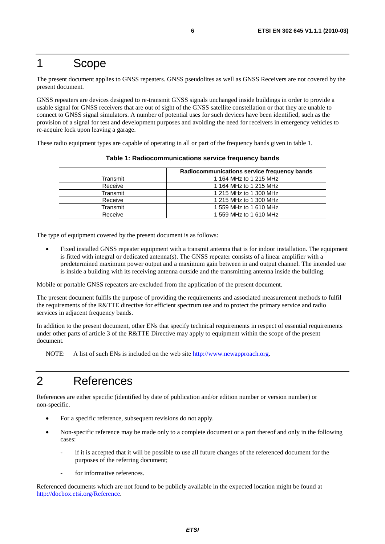## 1 Scope

The present document applies to GNSS repeaters. GNSS pseudolites as well as GNSS Receivers are not covered by the present document.

GNSS repeaters are devices designed to re-transmit GNSS signals unchanged inside buildings in order to provide a usable signal for GNSS receivers that are out of sight of the GNSS satellite constellation or that they are unable to connect to GNSS signal simulators. A number of potential uses for such devices have been identified, such as the provision of a signal for test and development purposes and avoiding the need for receivers in emergency vehicles to re-acquire lock upon leaving a garage.

These radio equipment types are capable of operating in all or part of the frequency bands given in table 1.

|          | Radiocommunications service frequency bands |
|----------|---------------------------------------------|
| Transmit | 1 164 MHz to 1 215 MHz                      |
| Receive  | 1 164 MHz to 1 215 MHz                      |
| Transmit | 1 215 MHz to 1 300 MHz                      |
| Receive  | 1 215 MHz to 1 300 MHz                      |
| Transmit | 1 559 MHz to 1 610 MHz                      |
| Receive  | 1 559 MHz to 1 610 MHz                      |

**Table 1: Radiocommunications service frequency bands** 

The type of equipment covered by the present document is as follows:

• Fixed installed GNSS repeater equipment with a transmit antenna that is for indoor installation. The equipment is fitted with integral or dedicated antenna(s). The GNSS repeater consists of a linear amplifier with a predetermined maximum power output and a maximum gain between in and output channel. The intended use is inside a building with its receiving antenna outside and the transmitting antenna inside the building.

Mobile or portable GNSS repeaters are excluded from the application of the present document.

The present document fulfils the purpose of providing the requirements and associated measurement methods to fulfil the requirements of the R&TTE directive for efficient spectrum use and to protect the primary service and radio services in adjacent frequency bands.

In addition to the present document, other ENs that specify technical requirements in respect of essential requirements under other parts of article 3 of the R&TTE Directive may apply to equipment within the scope of the present document.

NOTE: A list of such ENs is included on the web site [http://www.newapproach.org.](http://www.newapproach.org/)

## 2 References

References are either specific (identified by date of publication and/or edition number or version number) or non-specific.

- For a specific reference, subsequent revisions do not apply.
- Non-specific reference may be made only to a complete document or a part thereof and only in the following cases:
	- if it is accepted that it will be possible to use all future changes of the referenced document for the purposes of the referring document;
	- for informative references.

Referenced documents which are not found to be publicly available in the expected location might be found at [http://docbox.etsi.org/Reference.](http://docbox.etsi.org/Reference)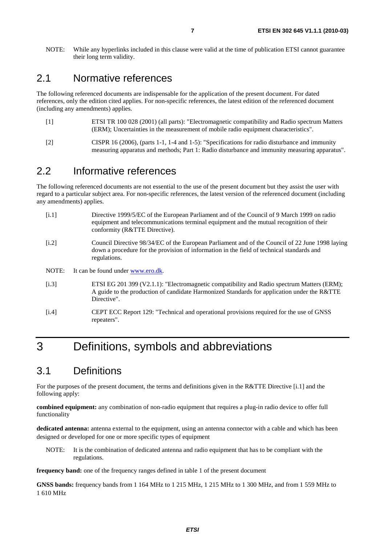NOTE: While any hyperlinks included in this clause were valid at the time of publication ETSI cannot guarantee their long term validity.

### 2.1 Normative references

The following referenced documents are indispensable for the application of the present document. For dated references, only the edition cited applies. For non-specific references, the latest edition of the referenced document (including any amendments) applies.

- [1] ETSI TR 100 028 (2001) (all parts): "Electromagnetic compatibility and Radio spectrum Matters (ERM); Uncertainties in the measurement of mobile radio equipment characteristics".
- [2] CISPR 16 (2006), (parts 1-1, 1-4 and 1-5): "Specifications for radio disturbance and immunity measuring apparatus and methods; Part 1: Radio disturbance and immunity measuring apparatus".

### 2.2 Informative references

The following referenced documents are not essential to the use of the present document but they assist the user with regard to a particular subject area. For non-specific references, the latest version of the referenced document (including any amendments) applies.

- [i.1] Directive 1999/5/EC of the European Parliament and of the Council of 9 March 1999 on radio equipment and telecommunications terminal equipment and the mutual recognition of their conformity (R&TTE Directive).
- [i.2] Council Directive 98/34/EC of the European Parliament and of the Council of 22 June 1998 laying down a procedure for the provision of information in the field of technical standards and regulations.
- NOTE: It can be found under [www.ero.dk](http://www.ero.dk/).
- [i.3] ETSI EG 201 399 (V2.1.1): "Electromagnetic compatibility and Radio spectrum Matters (ERM); A guide to the production of candidate Harmonized Standards for application under the R&TTE Directive".
- [i.4] CEPT ECC Report 129: "Technical and operational provisions required for the use of GNSS repeaters".

## 3 Definitions, symbols and abbreviations

## 3.1 Definitions

For the purposes of the present document, the terms and definitions given in the R&TTE Directive [i.1] and the following apply:

**combined equipment:** any combination of non-radio equipment that requires a plug-in radio device to offer full functionality

**dedicated antenna:** antenna external to the equipment, using an antenna connector with a cable and which has been designed or developed for one or more specific types of equipment

NOTE: It is the combination of dedicated antenna and radio equipment that has to be compliant with the regulations.

**frequency band:** one of the frequency ranges defined in table 1 of the present document

**GNSS bands:** frequency bands from 1 164 MHz to 1 215 MHz, 1 215 MHz to 1 300 MHz, and from 1 559 MHz to 1 610 MHz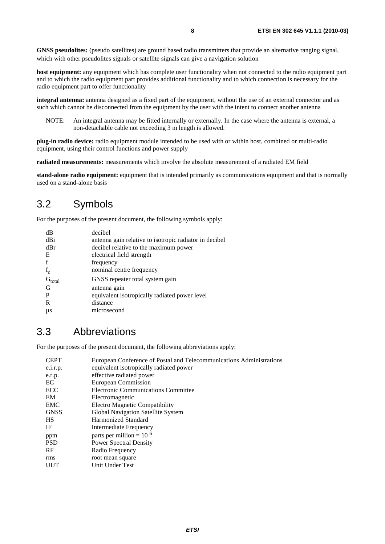**GNSS pseudolites:** (pseudo satellites) are ground based radio transmitters that provide an alternative ranging signal, which with other pseudolites signals or satellite signals can give a navigation solution

**host equipment:** any equipment which has complete user functionality when not connected to the radio equipment part and to which the radio equipment part provides additional functionality and to which connection is necessary for the radio equipment part to offer functionality

**integral antenna:** antenna designed as a fixed part of the equipment, without the use of an external connector and as such which cannot be disconnected from the equipment by the user with the intent to connect another antenna

NOTE: An integral antenna may be fitted internally or externally. In the case where the antenna is external, a non-detachable cable not exceeding 3 m length is allowed.

**plug-in radio device:** radio equipment module intended to be used with or within host, combined or multi-radio equipment, using their control functions and power supply

**radiated measurements:** measurements which involve the absolute measurement of a radiated EM field

**stand-alone radio equipment:** equipment that is intended primarily as communications equipment and that is normally used on a stand-alone basis

### 3.2 Symbols

For the purposes of the present document, the following symbols apply:

| dВ                | decibel                                                |
|-------------------|--------------------------------------------------------|
| dBi               | antenna gain relative to isotropic radiator in decibel |
| dBr               | decibel relative to the maximum power                  |
| Е                 | electrical field strength                              |
| f                 | frequency                                              |
| $f_c$             | nominal centre frequency                               |
| $\dot{G}_{total}$ | GNSS repeater total system gain                        |
| G                 | antenna gain                                           |
| P                 | equivalent isotropically radiated power level          |
| R                 | distance                                               |
| μs                | microsecond                                            |

## 3.3 Abbreviations

For the purposes of the present document, the following abbreviations apply:

| CEPT        | European Conference of Postal and Telecommunications Administrations |
|-------------|----------------------------------------------------------------------|
| e.i.r.p.    | equivalent isotropically radiated power                              |
| e.r.p.      | effective radiated power                                             |
| ЕC          | European Commission                                                  |
| ECC         | <b>Electronic Communications Committee</b>                           |
| EM          | Electromagnetic                                                      |
| EMC         | Electro Magnetic Compatibility                                       |
| <b>GNSS</b> | Global Navigation Satellite System                                   |
| НS          | <b>Harmonized Standard</b>                                           |
| ΙF          | Intermediate Frequency                                               |
| ppm         | parts per million = $10^{-6}$                                        |
| PSD         | <b>Power Spectral Density</b>                                        |
| RF          | Radio Frequency                                                      |
| rms         | root mean square                                                     |
| UUT         | Unit Under Test                                                      |
|             |                                                                      |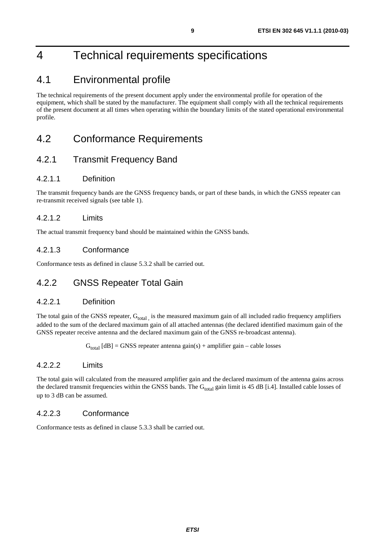## 4 Technical requirements specifications

## 4.1 Environmental profile

The technical requirements of the present document apply under the environmental profile for operation of the equipment, which shall be stated by the manufacturer. The equipment shall comply with all the technical requirements of the present document at all times when operating within the boundary limits of the stated operational environmental profile.

## 4.2 Conformance Requirements

### 4.2.1 Transmit Frequency Band

#### 4.2.1.1 Definition

The transmit frequency bands are the GNSS frequency bands, or part of these bands, in which the GNSS repeater can re-transmit received signals (see table 1).

### 4.2.1.2 Limits

The actual transmit frequency band should be maintained within the GNSS bands.

### 4.2.1.3 Conformance

Conformance tests as defined in clause 5.3.2 shall be carried out.

### 4.2.2 GNSS Repeater Total Gain

#### 4.2.2.1 Definition

The total gain of the GNSS repeater,  $G_{total}$  is the measured maximum gain of all included radio frequency amplifiers added to the sum of the declared maximum gain of all attached antennas (the declared identified maximum gain of the GNSS repeater receive antenna and the declared maximum gain of the GNSS re-broadcast antenna).

 $G<sub>total</sub> [dB] = GNSS$  repeater antenna gain(s) + amplifier gain – cable losses

#### 4.2.2.2 Limits

The total gain will calculated from the measured amplifier gain and the declared maximum of the antenna gains across the declared transmit frequencies within the GNSS bands. The  $G<sub>total</sub>$  gain limit is 45 dB [i.4]. Installed cable losses of up to 3 dB can be assumed.

### 4.2.2.3 Conformance

Conformance tests as defined in clause 5.3.3 shall be carried out.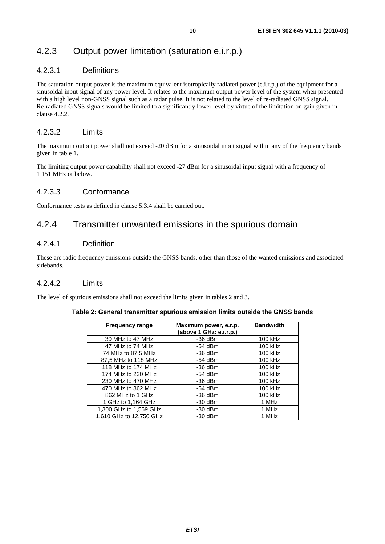## 4.2.3 Output power limitation (saturation e.i.r.p.)

#### 4.2.3.1 Definitions

The saturation output power is the maximum equivalent isotropically radiated power (e.i.r.p.) of the equipment for a sinusoidal input signal of any power level. It relates to the maximum output power level of the system when presented with a high level non-GNSS signal such as a radar pulse. It is not related to the level of re-radiated GNSS signal. Re-radiated GNSS signals would be limited to a significantly lower level by virtue of the limitation on gain given in clause 4.2.2.

#### 4.2.3.2 Limits

The maximum output power shall not exceed -20 dBm for a sinusoidal input signal within any of the frequency bands given in table 1.

The limiting output power capability shall not exceed -27 dBm for a sinusoidal input signal with a frequency of 1 151 MHz or below.

#### 4.2.3.3 Conformance

Conformance tests as defined in clause 5.3.4 shall be carried out.

### 4.2.4 Transmitter unwanted emissions in the spurious domain

#### 4.2.4.1 Definition

These are radio frequency emissions outside the GNSS bands, other than those of the wanted emissions and associated sidebands.

#### 4.2.4.2 Limits

The level of spurious emissions shall not exceed the limits given in tables 2 and 3.

| <b>Frequency range</b>  | Maximum power, e.r.p.<br>(above 1 GHz: e.i.r.p.) | <b>Bandwidth</b> |
|-------------------------|--------------------------------------------------|------------------|
| 30 MHz to 47 MHz        | $-36$ dBm                                        | 100 kHz          |
| 47 MHz to 74 MHz        | $-54$ dBm                                        | 100 kHz          |
| 74 MHz to 87,5 MHz      | $-36$ dBm                                        | 100 kHz          |
| 87,5 MHz to 118 MHz     | $-54$ dBm                                        | 100 kHz          |
| 118 MHz to 174 MHz      | $-36$ dBm                                        | 100 kHz          |
| 174 MHz to 230 MHz      | $-54$ dBm                                        | 100 kHz          |
| 230 MHz to 470 MHz      | $-36$ dBm                                        | 100 kHz          |
| 470 MHz to 862 MHz      | $-54$ dBm                                        | 100 kHz          |
| 862 MHz to 1 GHz        | $-36$ dBm                                        | 100 kHz          |
| 1 GHz to 1,164 GHz      | $-30$ dBm                                        | 1 MHz            |
| 1,300 GHz to 1,559 GHz  | $-30$ dBm                                        | 1 MHz            |
| 1,610 GHz to 12,750 GHz | $-30$ dBm                                        | 1 MHz            |

#### **Table 2: General transmitter spurious emission limits outside the GNSS bands**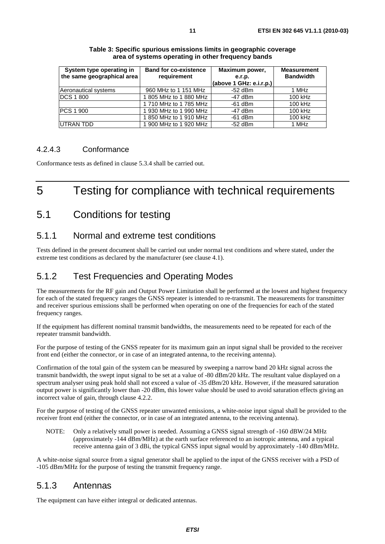| System type operating in   | <b>Band for co-existence</b> | Maximum power,          | <b>Measurement</b> |
|----------------------------|------------------------------|-------------------------|--------------------|
| the same geographical area | requirement                  | e.r.p.                  | <b>Bandwidth</b>   |
|                            |                              | (above 1 GHz: e.i.r.p.) |                    |
| Aeronautical systems       | 960 MHz to 1 151 MHz         | $-52$ dBm               | 1 MHz              |
| DCS 1 800                  | 1805 MHz to 1880 MHz         | $-47$ dBm               | 100 kHz            |
|                            | 1710 MHz to 1785 MHz         | $-61$ dBm               | 100 kHz            |
| PCS 1 900                  | 1 930 MHz to 1 990 MHz       | $-47$ dBm               | 100 kHz            |
|                            | 1850 MHz to 1910 MHz         | $-61$ dBm               | 100 kHz            |
| UTRAN TDD                  | 1 900 MHz to 1 920 MHz       | $-52$ dBm               | 1 MHz              |

| Table 3: Specific spurious emissions limits in geographic coverage |
|--------------------------------------------------------------------|
| area of systems operating in other frequency bands                 |

#### 4.2.4.3 Conformance

Conformance tests as defined in clause 5.3.4 shall be carried out.

## 5 Testing for compliance with technical requirements

### 5.1 Conditions for testing

### 5.1.1 Normal and extreme test conditions

Tests defined in the present document shall be carried out under normal test conditions and where stated, under the extreme test conditions as declared by the manufacturer (see clause 4.1).

### 5.1.2 Test Frequencies and Operating Modes

The measurements for the RF gain and Output Power Limitation shall be performed at the lowest and highest frequency for each of the stated frequency ranges the GNSS repeater is intended to re-transmit. The measurements for transmitter and receiver spurious emissions shall be performed when operating on one of the frequencies for each of the stated frequency ranges.

If the equipment has different nominal transmit bandwidths, the measurements need to be repeated for each of the repeater transmit bandwidth.

For the purpose of testing of the GNSS repeater for its maximum gain an input signal shall be provided to the receiver front end (either the connector, or in case of an integrated antenna, to the receiving antenna).

Confirmation of the total gain of the system can be measured by sweeping a narrow band 20 kHz signal across the transmit bandwidth, the swept input signal to be set at a value of -80 dBm/20 kHz. The resultant value displayed on a spectrum analyser using peak hold shall not exceed a value of -35 dBm/20 kHz. However, if the measured saturation output power is significantly lower than -20 dBm, this lower value should be used to avoid saturation effects giving an incorrect value of gain, through clause 4.2.2.

For the purpose of testing of the GNSS repeater unwanted emissions, a white-noise input signal shall be provided to the receiver front end (either the connector, or in case of an integrated antenna, to the receiving antenna).

NOTE: Only a relatively small power is needed. Assuming a GNSS signal strength of -160 dBW/24 MHz (approximately -144 dBm/MHz) at the earth surface referenced to an isotropic antenna, and a typical receive antenna gain of 3 dBi, the typical GNSS input signal would by approximately -140 dBm/MHz.

A white-noise signal source from a signal generator shall be applied to the input of the GNSS receiver with a PSD of -105 dBm/MHz for the purpose of testing the transmit frequency range.

### 5.1.3 Antennas

The equipment can have either integral or dedicated antennas.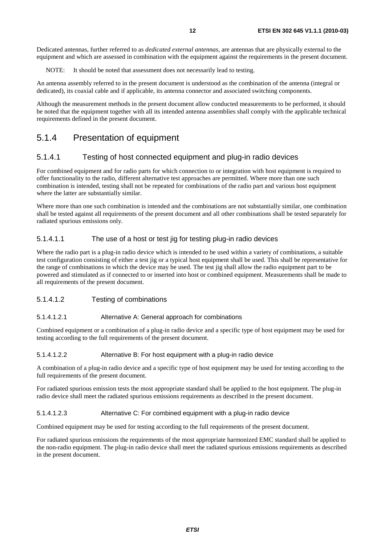Dedicated antennas, further referred to as *dedicated external antennas*, are antennas that are physically external to the equipment and which are assessed in combination with the equipment against the requirements in the present document.

NOTE: It should be noted that assessment does not necessarily lead to testing.

An antenna assembly referred to in the present document is understood as the combination of the antenna (integral or dedicated), its coaxial cable and if applicable, its antenna connector and associated switching components.

Although the measurement methods in the present document allow conducted measurements to be performed, it should be noted that the equipment together with all its intended antenna assemblies shall comply with the applicable technical requirements defined in the present document.

### 5.1.4 Presentation of equipment

#### 5.1.4.1 Testing of host connected equipment and plug-in radio devices

For combined equipment and for radio parts for which connection to or integration with host equipment is required to offer functionality to the radio, different alternative test approaches are permitted. Where more than one such combination is intended, testing shall not be repeated for combinations of the radio part and various host equipment where the latter are substantially similar.

Where more than one such combination is intended and the combinations are not substantially similar, one combination shall be tested against all requirements of the present document and all other combinations shall be tested separately for radiated spurious emissions only.

#### 5.1.4.1.1 The use of a host or test jig for testing plug-in radio devices

Where the radio part is a plug-in radio device which is intended to be used within a variety of combinations, a suitable test configuration consisting of either a test jig or a typical host equipment shall be used. This shall be representative for the range of combinations in which the device may be used. The test jig shall allow the radio equipment part to be powered and stimulated as if connected to or inserted into host or combined equipment. Measurements shall be made to all requirements of the present document.

#### 5.1.4.1.2 Testing of combinations

#### 5.1.4.1.2.1 Alternative A: General approach for combinations

Combined equipment or a combination of a plug-in radio device and a specific type of host equipment may be used for testing according to the full requirements of the present document.

#### 5.1.4.1.2.2 Alternative B: For host equipment with a plug-in radio device

A combination of a plug-in radio device and a specific type of host equipment may be used for testing according to the full requirements of the present document.

For radiated spurious emission tests the most appropriate standard shall be applied to the host equipment. The plug-in radio device shall meet the radiated spurious emissions requirements as described in the present document.

#### 5.1.4.1.2.3 Alternative C: For combined equipment with a plug-in radio device

Combined equipment may be used for testing according to the full requirements of the present document.

For radiated spurious emissions the requirements of the most appropriate harmonized EMC standard shall be applied to the non-radio equipment. The plug-in radio device shall meet the radiated spurious emissions requirements as described in the present document.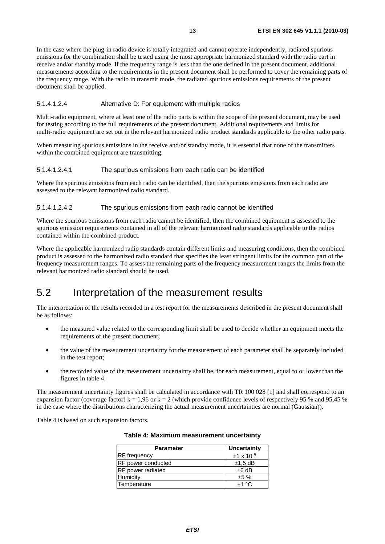In the case where the plug-in radio device is totally integrated and cannot operate independently, radiated spurious emissions for the combination shall be tested using the most appropriate harmonized standard with the radio part in receive and/or standby mode. If the frequency range is less than the one defined in the present document, additional measurements according to the requirements in the present document shall be performed to cover the remaining parts of the frequency range. With the radio in transmit mode, the radiated spurious emissions requirements of the present document shall be applied.

#### 5.1.4.1.2.4 Alternative D: For equipment with multiple radios

Multi-radio equipment, where at least one of the radio parts is within the scope of the present document, may be used for testing according to the full requirements of the present document. Additional requirements and limits for multi-radio equipment are set out in the relevant harmonized radio product standards applicable to the other radio parts.

When measuring spurious emissions in the receive and/or standby mode, it is essential that none of the transmitters within the combined equipment are transmitting.

#### 5.1.4.1.2.4.1 The spurious emissions from each radio can be identified

Where the spurious emissions from each radio can be identified, then the spurious emissions from each radio are assessed to the relevant harmonized radio standard.

#### 5.1.4.1.2.4.2 The spurious emissions from each radio cannot be identified

Where the spurious emissions from each radio cannot be identified, then the combined equipment is assessed to the spurious emission requirements contained in all of the relevant harmonized radio standards applicable to the radios contained within the combined product.

Where the applicable harmonized radio standards contain different limits and measuring conditions, then the combined product is assessed to the harmonized radio standard that specifies the least stringent limits for the common part of the frequency measurement ranges. To assess the remaining parts of the frequency measurement ranges the limits from the relevant harmonized radio standard should be used.

## 5.2 Interpretation of the measurement results

The interpretation of the results recorded in a test report for the measurements described in the present document shall be as follows:

- the measured value related to the corresponding limit shall be used to decide whether an equipment meets the requirements of the present document;
- the value of the measurement uncertainty for the measurement of each parameter shall be separately included in the test report;
- the recorded value of the measurement uncertainty shall be, for each measurement, equal to or lower than the figures in table 4.

The measurement uncertainty figures shall be calculated in accordance with TR 100 028 [1] and shall correspond to an expansion factor (coverage factor) k = 1,96 or k = 2 (which provide confidence levels of respectively 95 % and 95,45 % in the case where the distributions characterizing the actual measurement uncertainties are normal (Gaussian)).

Table 4 is based on such expansion factors.

| <b>Parameter</b>   | Uncertainty         |
|--------------------|---------------------|
| RF frequency       | $±1 \times 10^{-5}$ |
| RF power conducted | $±1,5$ dB           |
| RF power radiated  | $±6$ dB             |
| Humidity           | ±5%                 |
| Temperature        | $+1$ °C             |
|                    |                     |

#### **Table 4: Maximum measurement uncertainty**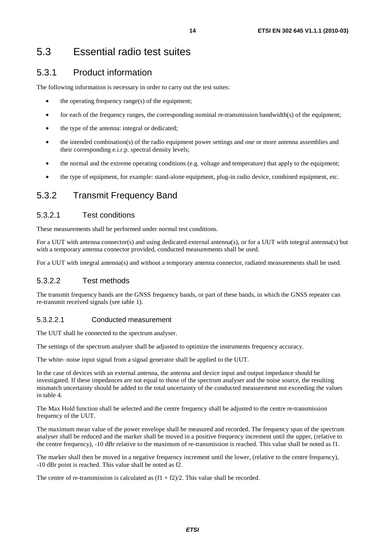## 5.3 Essential radio test suites

### 5.3.1 Product information

The following information is necessary in order to carry out the test suites:

- the operating frequency range $(s)$  of the equipment;
- for each of the frequency ranges, the corresponding nominal re-transmission bandwidth(s) of the equipment;
- the type of the antenna: integral or dedicated;
- the intended combination(s) of the radio equipment power settings and one or more antenna assemblies and their corresponding e.i.r.p. spectral density levels;
- the normal and the extreme operating conditions (e.g. voltage and temperature) that apply to the equipment;
- the type of equipment, for example: stand-alone equipment, plug-in radio device, combined equipment, etc.

### 5.3.2 Transmit Frequency Band

#### 5.3.2.1 Test conditions

These measurements shall be performed under normal test conditions.

For a UUT with antenna connector(s) and using dedicated external antenna(s), or for a UUT with integral antenna(s) but with a temporary antenna connector provided, conducted measurements shall be used.

For a UUT with integral antenna(s) and without a temporary antenna connector, radiated measurements shall be used.

#### 5.3.2.2 Test methods

The transmit frequency bands are the GNSS frequency bands, or part of these bands, in which the GNSS repeater can re-transmit received signals (see table 1).

#### 5.3.2.2.1 Conducted measurement

The UUT shall be connected to the spectrum analyser.

The settings of the spectrum analyser shall be adjusted to optimize the instruments frequency accuracy.

The white- noise input signal from a signal generator shall be applied to the UUT.

In the case of devices with an external antenna, the antenna and device input and output impedance should be investigated. If these impedances are not equal to those of the spectrum analyser and the noise source, the resulting mismatch uncertainty should be added to the total uncertainty of the conducted measurement not exceeding the values in table 4.

The Max Hold function shall be selected and the centre frequency shall be adjusted to the centre re-transmission frequency of the UUT.

The maximum mean value of the power envelope shall be measured and recorded. The frequency span of the spectrum analyser shall be reduced and the marker shall be moved in a positive frequency increment until the upper, (relative to the centre frequency), -10 dBr relative to the maximum of re-transmission is reached. This value shall be noted as f1.

The marker shall then be moved in a negative frequency increment until the lower, (relative to the centre frequency), -10 dBr point is reached. This value shall be noted as f2.

The centre of re-transmission is calculated as  $(f1 + f2)/2$ . This value shall be recorded.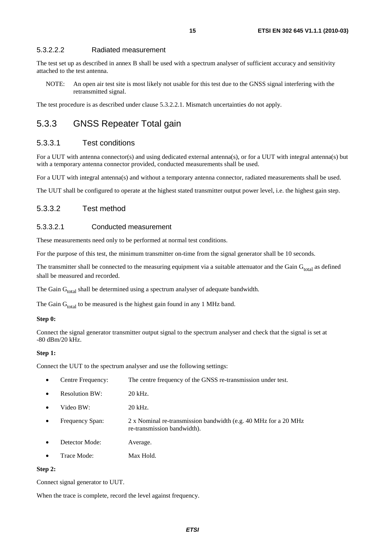#### 5.3.2.2.2 Radiated measurement

The test set up as described in annex B shall be used with a spectrum analyser of sufficient accuracy and sensitivity attached to the test antenna.

NOTE: An open air test site is most likely not usable for this test due to the GNSS signal interfering with the retransmitted signal.

The test procedure is as described under clause 5.3.2.2.1. Mismatch uncertainties do not apply.

### 5.3.3 GNSS Repeater Total gain

#### 5.3.3.1 Test conditions

For a UUT with antenna connector(s) and using dedicated external antenna(s), or for a UUT with integral antenna(s) but with a temporary antenna connector provided, conducted measurements shall be used.

For a UUT with integral antenna(s) and without a temporary antenna connector, radiated measurements shall be used.

The UUT shall be configured to operate at the highest stated transmitter output power level, i.e. the highest gain step.

#### 5.3.3.2 Test method

#### 5.3.3.2.1 Conducted measurement

These measurements need only to be performed at normal test conditions.

For the purpose of this test, the minimum transmitter on-time from the signal generator shall be 10 seconds.

The transmitter shall be connected to the measuring equipment via a suitable attenuator and the Gain  $G_{total}$  as defined shall be measured and recorded.

The Gain  $G_{total}$  shall be determined using a spectrum analyser of adequate bandwidth.

The Gain  $G<sub>total</sub>$  to be measured is the highest gain found in any 1 MHz band.

#### **Step 0:**

Connect the signal generator transmitter output signal to the spectrum analyser and check that the signal is set at -80 dBm/20 kHz.

#### **Step 1:**

Connect the UUT to the spectrum analyser and use the following settings:

| The centre frequency of the GNSS re-transmission under test.<br>Centre Frequency: |  |
|-----------------------------------------------------------------------------------|--|
|-----------------------------------------------------------------------------------|--|

- Resolution BW: 20 kHz.
- Video BW: 20 kHz.
- Frequency Span: 2 x Nominal re-transmission bandwidth (e.g. 40 MHz for a 20 MHz re-transmission bandwidth).
- **Detector Mode:** Average.
- Trace Mode: Max Hold.

#### **Step 2:**

Connect signal generator to UUT.

When the trace is complete, record the level against frequency.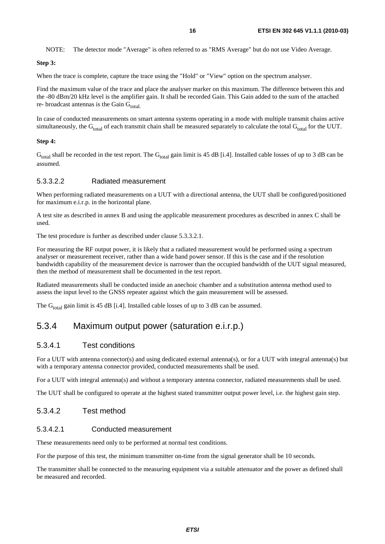NOTE: The detector mode "Average" is often referred to as "RMS Average" but do not use Video Average.

#### **Step 3:**

When the trace is complete, capture the trace using the "Hold" or "View" option on the spectrum analyser.

Find the maximum value of the trace and place the analyser marker on this maximum. The difference between this and the -80 dBm/20 kHz level is the amplifier gain. It shall be recorded Gain. This Gain added to the sum of the attached re- broadcast antennas is the Gain  $G_{total}$ .

In case of conducted measurements on smart antenna systems operating in a mode with multiple transmit chains active simultaneously, the  $G<sub>total</sub>$  of each transmit chain shall be measured separately to calculate the total  $G<sub>total</sub>$  for the UUT.

#### **Step 4:**

 $G_{total}$  shall be recorded in the test report. The  $G_{total}$  gain limit is 45 dB [i.4]. Installed cable losses of up to 3 dB can be assumed.

#### 5.3.3.2.2 Radiated measurement

When performing radiated measurements on a UUT with a directional antenna, the UUT shall be configured/positioned for maximum e.i.r.p. in the horizontal plane.

A test site as described in annex B and using the applicable measurement procedures as described in annex C shall be used.

The test procedure is further as described under clause 5.3.3.2.1.

For measuring the RF output power, it is likely that a radiated measurement would be performed using a spectrum analyser or measurement receiver, rather than a wide band power sensor. If this is the case and if the resolution bandwidth capability of the measurement device is narrower than the occupied bandwidth of the UUT signal measured, then the method of measurement shall be documented in the test report.

Radiated measurements shall be conducted inside an anechoic chamber and a substitution antenna method used to assess the input level to the GNSS repeater against which the gain measurement will be assessed.

The  $G<sub>total</sub>$  gain limit is 45 dB [i.4]. Installed cable losses of up to 3 dB can be assumed.

### 5.3.4 Maximum output power (saturation e.i.r.p.)

#### 5.3.4.1 Test conditions

For a UUT with antenna connector(s) and using dedicated external antenna(s), or for a UUT with integral antenna(s) but with a temporary antenna connector provided, conducted measurements shall be used.

For a UUT with integral antenna(s) and without a temporary antenna connector, radiated measurements shall be used.

The UUT shall be configured to operate at the highest stated transmitter output power level, i.e. the highest gain step.

#### 5.3.4.2 Test method

#### 5.3.4.2.1 Conducted measurement

These measurements need only to be performed at normal test conditions.

For the purpose of this test, the minimum transmitter on-time from the signal generator shall be 10 seconds.

The transmitter shall be connected to the measuring equipment via a suitable attenuator and the power as defined shall be measured and recorded.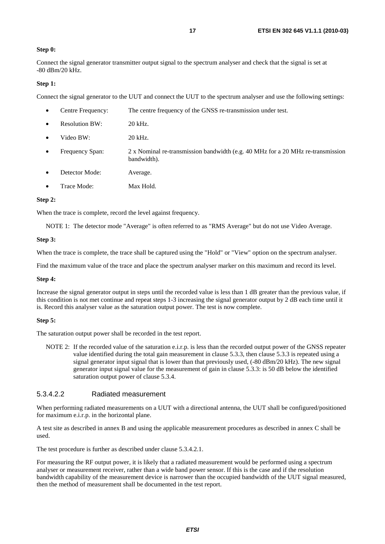#### **Step 0:**

Connect the signal generator transmitter output signal to the spectrum analyser and check that the signal is set at -80 dBm/20 kHz.

#### **Step 1:**

Connect the signal generator to the UUT and connect the UUT to the spectrum analyser and use the following settings:

| $\bullet$ | Centre Frequency:     | The centre frequency of the GNSS re-transmission under test.                                   |
|-----------|-----------------------|------------------------------------------------------------------------------------------------|
| $\bullet$ | <b>Resolution BW:</b> | 20 kHz.                                                                                        |
| $\bullet$ | Video BW:             | 20 kHz.                                                                                        |
| $\bullet$ | Frequency Span:       | 2 x Nominal re-transmission bandwidth (e.g. 40 MHz for a 20 MHz re-transmission<br>bandwidth). |
| $\bullet$ | Detector Mode:        | Average.                                                                                       |
|           | Trace Mode:           | Max Hold.                                                                                      |

#### **Step 2:**

When the trace is complete, record the level against frequency.

NOTE 1: The detector mode "Average" is often referred to as "RMS Average" but do not use Video Average.

#### **Step 3:**

When the trace is complete, the trace shall be captured using the "Hold" or "View" option on the spectrum analyser.

Find the maximum value of the trace and place the spectrum analyser marker on this maximum and record its level.

#### **Step 4:**

Increase the signal generator output in steps until the recorded value is less than 1 dB greater than the previous value, if this condition is not met continue and repeat steps 1-3 increasing the signal generator output by 2 dB each time until it is. Record this analyser value as the saturation output power. The test is now complete.

#### **Step 5:**

The saturation output power shall be recorded in the test report.

NOTE 2: If the recorded value of the saturation e.i.r.p. is less than the recorded output power of the GNSS repeater value identified during the total gain measurement in clause 5.3.3, then clause 5.3.3 is repeated using a signal generator input signal that is lower than that previously used, (-80 dBm/20 kHz). The new signal generator input signal value for the measurement of gain in clause 5.3.3: is 50 dB below the identified saturation output power of clause 5.3.4.

#### 5.3.4.2.2 Radiated measurement

When performing radiated measurements on a UUT with a directional antenna, the UUT shall be configured/positioned for maximum e.i.r.p. in the horizontal plane.

A test site as described in annex B and using the applicable measurement procedures as described in annex C shall be used.

The test procedure is further as described under clause 5.3.4.2.1.

For measuring the RF output power, it is likely that a radiated measurement would be performed using a spectrum analyser or measurement receiver, rather than a wide band power sensor. If this is the case and if the resolution bandwidth capability of the measurement device is narrower than the occupied bandwidth of the UUT signal measured, then the method of measurement shall be documented in the test report.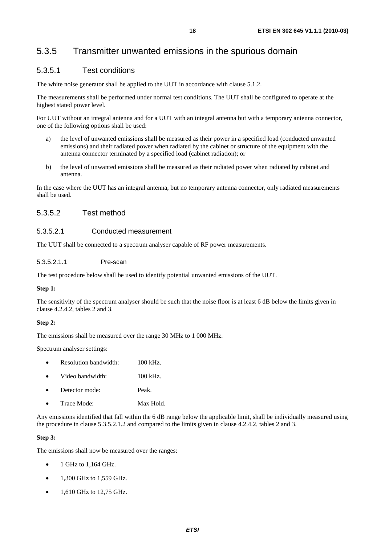### 5.3.5 Transmitter unwanted emissions in the spurious domain

#### 5.3.5.1 Test conditions

The white noise generator shall be applied to the UUT in accordance with clause 5.1.2.

The measurements shall be performed under normal test conditions. The UUT shall be configured to operate at the highest stated power level.

For UUT without an integral antenna and for a UUT with an integral antenna but with a temporary antenna connector, one of the following options shall be used:

- a) the level of unwanted emissions shall be measured as their power in a specified load (conducted unwanted emissions) and their radiated power when radiated by the cabinet or structure of the equipment with the antenna connector terminated by a specified load (cabinet radiation); or
- b) the level of unwanted emissions shall be measured as their radiated power when radiated by cabinet and antenna.

In the case where the UUT has an integral antenna, but no temporary antenna connector, only radiated measurements shall be used.

#### 5.3.5.2 Test method

#### 5.3.5.2.1 Conducted measurement

The UUT shall be connected to a spectrum analyser capable of RF power measurements.

5.3.5.2.1.1 Pre-scan

The test procedure below shall be used to identify potential unwanted emissions of the UUT.

#### **Step 1:**

The sensitivity of the spectrum analyser should be such that the noise floor is at least 6 dB below the limits given in clause 4.2.4.2, tables 2 and 3.

#### **Step 2:**

The emissions shall be measured over the range 30 MHz to 1 000 MHz.

Spectrum analyser settings:

|  | Resolution bandwidth: | 100 kHz. |
|--|-----------------------|----------|
|--|-----------------------|----------|

- Video bandwidth: 100 kHz.
- Detector mode: Peak.
- Trace Mode: Max Hold.

Any emissions identified that fall within the 6 dB range below the applicable limit, shall be individually measured using the procedure in clause 5.3.5.2.1.2 and compared to the limits given in clause 4.2.4.2, tables 2 and 3.

#### **Step 3:**

The emissions shall now be measured over the ranges:

- 1 GHz to 1,164 GHz.
- $1,300$  GHz to  $1,559$  GHz.
- $\bullet$  1.610 GHz to 12.75 GHz.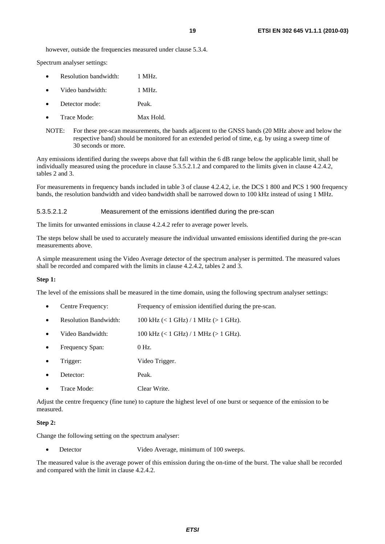however, outside the frequencies measured under clause 5.3.4.

Spectrum analyser settings:

- Resolution bandwidth: 1 MHz.
- Video bandwidth: 1 MHz.
- Detector mode: Peak.
- Trace Mode: Max Hold.
- NOTE: For these pre-scan measurements, the bands adjacent to the GNSS bands (20 MHz above and below the respective band) should be monitored for an extended period of time, e.g. by using a sweep time of 30 seconds or more.

Any emissions identified during the sweeps above that fall within the 6 dB range below the applicable limit, shall be individually measured using the procedure in clause 5.3.5.2.1.2 and compared to the limits given in clause 4.2.4.2, tables 2 and 3.

For measurements in frequency bands included in table 3 of clause 4.2.4.2, i.e. the DCS 1 800 and PCS 1 900 frequency bands, the resolution bandwidth and video bandwidth shall be narrowed down to 100 kHz instead of using 1 MHz.

#### 5.3.5.2.1.2 Measurement of the emissions identified during the pre-scan

The limits for unwanted emissions in clause 4.2.4.2 refer to average power levels.

The steps below shall be used to accurately measure the individual unwanted emissions identified during the pre-scan measurements above.

A simple measurement using the Video Average detector of the spectrum analyser is permitted. The measured values shall be recorded and compared with the limits in clause 4.2.4.2, tables 2 and 3.

#### **Step 1:**

The level of the emissions shall be measured in the time domain, using the following spectrum analyser settings:

- Centre Frequency: Frequency of emission identified during the pre-scan.
- Resolution Bandwidth:  $100 \text{ kHz}$  (< 1 GHz) / 1 MHz (> 1 GHz).
- Video Bandwidth:  $100 \text{ kHz}$  (< 1 GHz) / 1 MHz (> 1 GHz).
- Frequency Span: 0 Hz.
- Trigger: Video Trigger.
- Detector: Peak.
- Trace Mode: Clear Write.

Adjust the centre frequency (fine tune) to capture the highest level of one burst or sequence of the emission to be measured.

#### **Step 2:**

Change the following setting on the spectrum analyser:

Detector Video Average, minimum of 100 sweeps.

The measured value is the average power of this emission during the on-time of the burst. The value shall be recorded and compared with the limit in clause 4.2.4.2.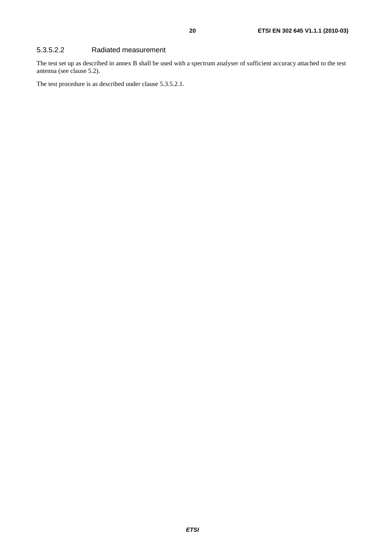#### 5.3.5.2.2 Radiated measurement

The test set up as described in annex B shall be used with a spectrum analyser of sufficient accuracy attached to the test antenna (see clause 5.2).

The test procedure is as described under clause 5.3.5.2.1.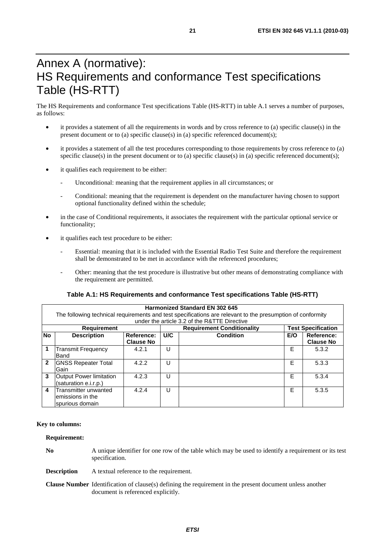## Annex A (normative): HS Requirements and conformance Test specifications Table (HS-RTT)

The HS Requirements and conformance Test specifications Table (HS-RTT) in table A.1 serves a number of purposes, as follows:

- it provides a statement of all the requirements in words and by cross reference to (a) specific clause(s) in the present document or to (a) specific clause(s) in (a) specific referenced document(s);
- it provides a statement of all the test procedures corresponding to those requirements by cross reference to (a) specific clause(s) in the present document or to (a) specific clause(s) in (a) specific referenced document(s);
- it qualifies each requirement to be either:
	- Unconditional: meaning that the requirement applies in all circumstances; or
	- Conditional: meaning that the requirement is dependent on the manufacturer having chosen to support optional functionality defined within the schedule;
- in the case of Conditional requirements, it associates the requirement with the particular optional service or functionality;
- it qualifies each test procedure to be either:
	- Essential: meaning that it is included with the Essential Radio Test Suite and therefore the requirement shall be demonstrated to be met in accordance with the referenced procedures;
	- Other: meaning that the test procedure is illustrative but other means of demonstrating compliance with the requirement are permitted.

#### **Table A.1: HS Requirements and conformance Test specifications Table (HS-RTT)**

| <b>Harmonized Standard EN 302 645</b><br>The following technical requirements and test specifications are relevant to the presumption of conformity<br>under the article 3.2 of the R&TTE Directive |                                                               |                                |                                   |                  |     |                                |  |  |  |  |
|-----------------------------------------------------------------------------------------------------------------------------------------------------------------------------------------------------|---------------------------------------------------------------|--------------------------------|-----------------------------------|------------------|-----|--------------------------------|--|--|--|--|
| <b>Requirement</b>                                                                                                                                                                                  |                                                               |                                | <b>Requirement Conditionality</b> |                  |     | <b>Test Specification</b>      |  |  |  |  |
| <b>No</b>                                                                                                                                                                                           | <b>Description</b>                                            | Reference:<br><b>Clause No</b> | U/C                               | <b>Condition</b> | E/O | Reference:<br><b>Clause No</b> |  |  |  |  |
|                                                                                                                                                                                                     | <b>Transmit Frequency</b><br><b>Band</b>                      | 4.2.1                          | U                                 |                  | E   | 5.3.2                          |  |  |  |  |
| $\mathbf{2}$                                                                                                                                                                                        | <b>GNSS Repeater Total</b><br>Gain                            | 4.2.2                          | U                                 |                  | Е   | 5.3.3                          |  |  |  |  |
| 3                                                                                                                                                                                                   | Output Power limitation<br>(saturation e.i.r.p.)              | 4.2.3                          | U                                 |                  | Е   | 5.3.4                          |  |  |  |  |
| 4                                                                                                                                                                                                   | Transmitter unwanted<br>lemissions in the<br>Ispurious domain | 4.2.4                          | U                                 |                  | E   | 5.3.5                          |  |  |  |  |

#### **Key to columns:**

#### **Requirement:**

**No** A unique identifier for one row of the table which may be used to identify a requirement or its test specification.

**Description** A textual reference to the requirement.

**Clause Number** Identification of clause(s) defining the requirement in the present document unless another document is referenced explicitly.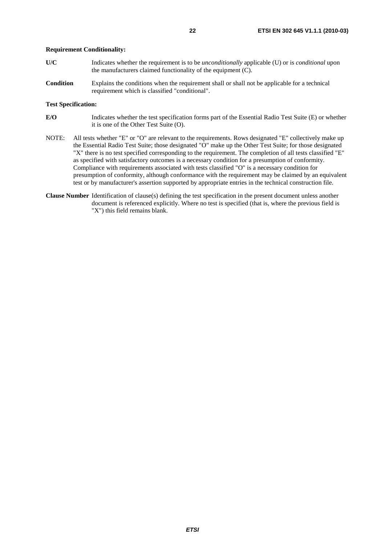#### **Requirement Conditionality:**

- **U/C** Indicates whether the requirement is to be *unconditionally* applicable (U) or is *conditional* upon the manufacturers claimed functionality of the equipment (C).
- **Condition** Explains the conditions when the requirement shall or shall not be applicable for a technical requirement which is classified "conditional".

#### **Test Specification:**

- **E/O** Indicates whether the test specification forms part of the Essential Radio Test Suite (E) or whether it is one of the Other Test Suite (O).
- NOTE: All tests whether "E" or "O" are relevant to the requirements. Rows designated "E" collectively make up the Essential Radio Test Suite; those designated "O" make up the Other Test Suite; for those designated "X" there is no test specified corresponding to the requirement. The completion of all tests classified "E" as specified with satisfactory outcomes is a necessary condition for a presumption of conformity. Compliance with requirements associated with tests classified "O" is a necessary condition for presumption of conformity, although conformance with the requirement may be claimed by an equivalent test or by manufacturer's assertion supported by appropriate entries in the technical construction file.
- **Clause Number** Identification of clause(s) defining the test specification in the present document unless another document is referenced explicitly. Where no test is specified (that is, where the previous field is "X") this field remains blank.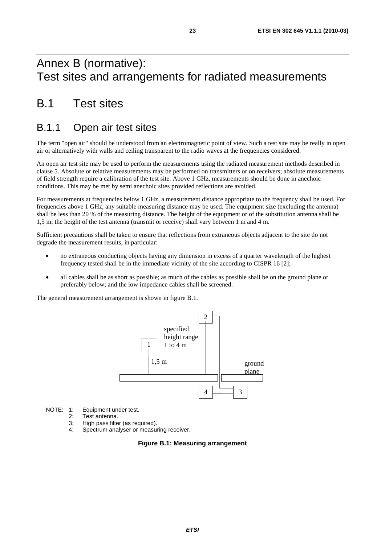## Annex B (normative): Test sites and arrangements for radiated measurements

## B.1 Test sites

## B.1.1 Open air test sites

The term "open air" should be understood from an electromagnetic point of view. Such a test site may be really in open air or alternatively with walls and ceiling transparent to the radio waves at the frequencies considered.

An open air test site may be used to perform the measurements using the radiated measurement methods described in clause 5. Absolute or relative measurements may be performed on transmitters or on receivers; absolute measurements of field strength require a calibration of the test site. Above 1 GHz, measurements should be done in anechoic conditions. This may be met by semi anechoic sites provided reflections are avoided.

For measurements at frequencies below 1 GHz, a measurement distance appropriate to the frequency shall be used. For frequencies above 1 GHz, any suitable measuring distance may be used. The equipment size (excluding the antenna) shall be less than 20 % of the measuring distance. The height of the equipment or of the substitution antenna shall be 1,5 m; the height of the test antenna (transmit or receive) shall vary between 1 m and 4 m.

Sufficient precautions shall be taken to ensure that reflections from extraneous objects adjacent to the site do not degrade the measurement results, in particular:

- no extraneous conducting objects having any dimension in excess of a quarter wavelength of the highest frequency tested shall be in the immediate vicinity of the site according to CISPR 16 [2];
- all cables shall be as short as possible; as much of the cables as possible shall be on the ground plane or preferably below; and the low impedance cables shall be screened.

The general measurement arrangement is shown in figure B.1.



NOTE: 1: Equipment under test.

- 2: Test antenna.
- 3: High pass filter (as required).
- 4: Spectrum analyser or measuring receiver.

#### **Figure B.1: Measuring arrangement**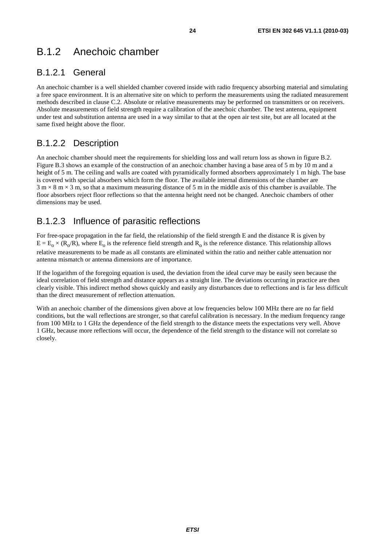## B.1.2 Anechoic chamber

### B.1.2.1 General

An anechoic chamber is a well shielded chamber covered inside with radio frequency absorbing material and simulating a free space environment. It is an alternative site on which to perform the measurements using the radiated measurement methods described in clause C.2. Absolute or relative measurements may be performed on transmitters or on receivers. Absolute measurements of field strength require a calibration of the anechoic chamber. The test antenna, equipment under test and substitution antenna are used in a way similar to that at the open air test site, but are all located at the same fixed height above the floor.

### B.1.2.2 Description

An anechoic chamber should meet the requirements for shielding loss and wall return loss as shown in figure B.2. Figure B.3 shows an example of the construction of an anechoic chamber having a base area of 5 m by 10 m and a height of 5 m. The ceiling and walls are coated with pyramidically formed absorbers approximately 1 m high. The base is covered with special absorbers which form the floor. The available internal dimensions of the chamber are  $3 \text{ m} \times 8 \text{ m} \times 3 \text{ m}$ , so that a maximum measuring distance of 5 m in the middle axis of this chamber is available. The floor absorbers reject floor reflections so that the antenna height need not be changed. Anechoic chambers of other dimensions may be used.

### B.1.2.3 Influence of parasitic reflections

For free-space propagation in the far field, the relationship of the field strength E and the distance R is given by  $E = E_0 \times (R_0/R)$ , where  $E_0$  is the reference field strength and  $R_0$  is the reference distance. This relationship allows relative measurements to be made as all constants are eliminated within the ratio and neither cable attenuation nor antenna mismatch or antenna dimensions are of importance.

If the logarithm of the foregoing equation is used, the deviation from the ideal curve may be easily seen because the ideal correlation of field strength and distance appears as a straight line. The deviations occurring in practice are then clearly visible. This indirect method shows quickly and easily any disturbances due to reflections and is far less difficult than the direct measurement of reflection attenuation.

With an anechoic chamber of the dimensions given above at low frequencies below 100 MHz there are no far field conditions, but the wall reflections are stronger, so that careful calibration is necessary. In the medium frequency range from 100 MHz to 1 GHz the dependence of the field strength to the distance meets the expectations very well. Above 1 GHz, because more reflections will occur, the dependence of the field strength to the distance will not correlate so closely.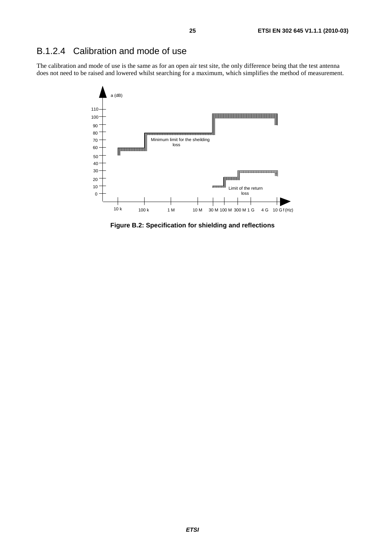### B.1.2.4 Calibration and mode of use

The calibration and mode of use is the same as for an open air test site, the only difference being that the test antenna does not need to be raised and lowered whilst searching for a maximum, which simplifies the method of measurement.



**Figure B.2: Specification for shielding and reflections**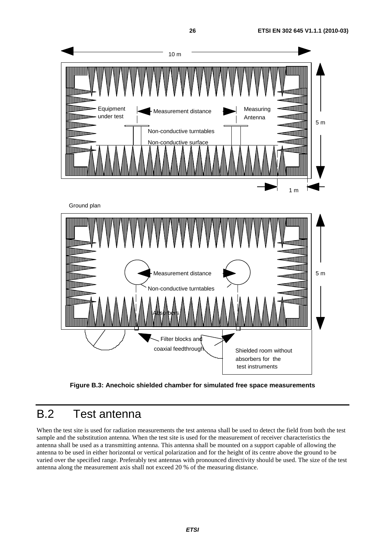

**Figure B.3: Anechoic shielded chamber for simulated free space measurements** 

## B.2 Test antenna

When the test site is used for radiation measurements the test antenna shall be used to detect the field from both the test sample and the substitution antenna. When the test site is used for the measurement of receiver characteristics the antenna shall be used as a transmitting antenna. This antenna shall be mounted on a support capable of allowing the antenna to be used in either horizontal or vertical polarization and for the height of its centre above the ground to be varied over the specified range. Preferably test antennas with pronounced directivity should be used. The size of the test antenna along the measurement axis shall not exceed 20 % of the measuring distance.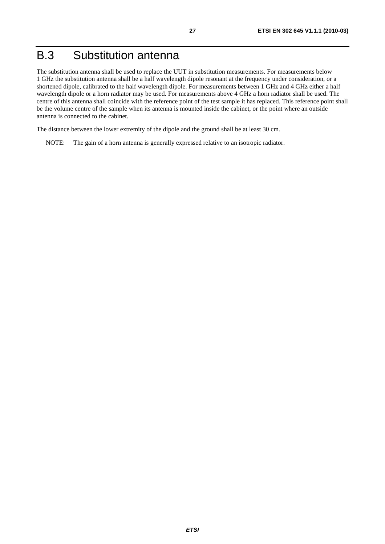## B.3 Substitution antenna

The substitution antenna shall be used to replace the UUT in substitution measurements. For measurements below 1 GHz the substitution antenna shall be a half wavelength dipole resonant at the frequency under consideration, or a shortened dipole, calibrated to the half wavelength dipole. For measurements between 1 GHz and 4 GHz either a half wavelength dipole or a horn radiator may be used. For measurements above 4 GHz a horn radiator shall be used. The centre of this antenna shall coincide with the reference point of the test sample it has replaced. This reference point shall be the volume centre of the sample when its antenna is mounted inside the cabinet, or the point where an outside antenna is connected to the cabinet.

The distance between the lower extremity of the dipole and the ground shall be at least 30 cm.

NOTE: The gain of a horn antenna is generally expressed relative to an isotropic radiator.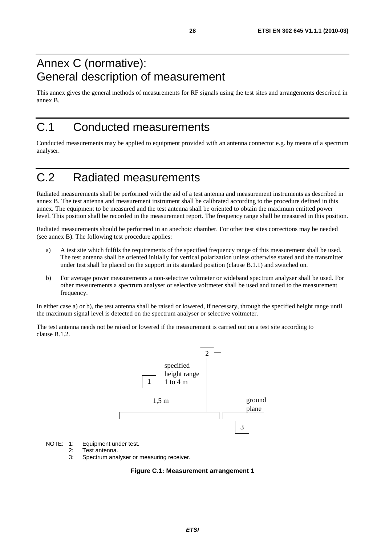## Annex C (normative): General description of measurement

This annex gives the general methods of measurements for RF signals using the test sites and arrangements described in annex B.

## C.1 Conducted measurements

Conducted measurements may be applied to equipment provided with an antenna connector e.g. by means of a spectrum analyser.

## C.2 Radiated measurements

Radiated measurements shall be performed with the aid of a test antenna and measurement instruments as described in annex B. The test antenna and measurement instrument shall be calibrated according to the procedure defined in this annex. The equipment to be measured and the test antenna shall be oriented to obtain the maximum emitted power level. This position shall be recorded in the measurement report. The frequency range shall be measured in this position.

Radiated measurements should be performed in an anechoic chamber. For other test sites corrections may be needed (see annex B). The following test procedure applies:

- a) A test site which fulfils the requirements of the specified frequency range of this measurement shall be used. The test antenna shall be oriented initially for vertical polarization unless otherwise stated and the transmitter under test shall be placed on the support in its standard position (clause B.1.1) and switched on.
- b) For average power measurements a non-selective voltmeter or wideband spectrum analyser shall be used. For other measurements a spectrum analyser or selective voltmeter shall be used and tuned to the measurement frequency.

In either case a) or b), the test antenna shall be raised or lowered, if necessary, through the specified height range until the maximum signal level is detected on the spectrum analyser or selective voltmeter.

The test antenna needs not be raised or lowered if the measurement is carried out on a test site according to clause B.1.2.



NOTE: 1: Equipment under test.<br>2: Test antenna

- Test antenna.
- 3: Spectrum analyser or measuring receiver.

#### **Figure C.1: Measurement arrangement 1**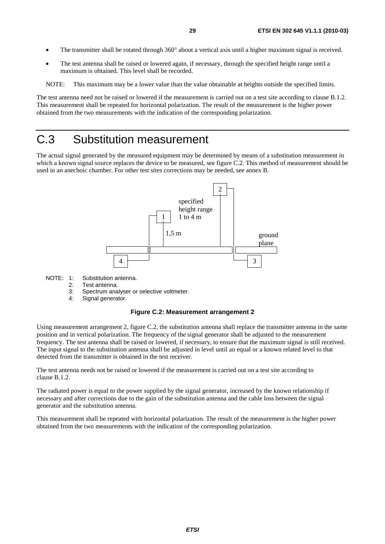- The transmitter shall be rotated through 360° about a vertical axis until a higher maximum signal is received.
- The test antenna shall be raised or lowered again, if necessary, through the specified height range until a maximum is obtained. This level shall be recorded.

NOTE: This maximum may be a lower value than the value obtainable at heights outside the specified limits.

The test antenna need not be raised or lowered if the measurement is carried out on a test site according to clause B.1.2. This measurement shall be repeated for horizontal polarization. The result of the measurement is the higher power obtained from the two measurements with the indication of the corresponding polarization.

## C.3 Substitution measurement

The actual signal generated by the measured equipment may be determined by means of a substitution measurement in which a known signal source replaces the device to be measured, see figure C.2. This method of measurement should be used in an anechoic chamber. For other test sites corrections may be needed, see annex B.



NOTE: 1: Substitution antenna.

- 2: Test antenna.
- 3: Spectrum analyser or selective voltmeter.
- 4: Signal generator.

#### **Figure C.2: Measurement arrangement 2**

Using measurement arrangement 2, figure C.2, the substitution antenna shall replace the transmitter antenna in the same position and in vertical polarization. The frequency of the signal generator shall be adjusted to the measurement frequency. The test antenna shall be raised or lowered, if necessary, to ensure that the maximum signal is still received. The input signal to the substitution antenna shall be adjusted in level until an equal or a known related level to that detected from the transmitter is obtained in the test receiver.

The test antenna needs not be raised or lowered if the measurement is carried out on a test site according to clause B.1.2.

The radiated power is equal to the power supplied by the signal generator, increased by the known relationship if necessary and after corrections due to the gain of the substitution antenna and the cable loss between the signal generator and the substitution antenna.

This measurement shall be repeated with horizontal polarization. The result of the measurement is the higher power obtained from the two measurements with the indication of the corresponding polarization.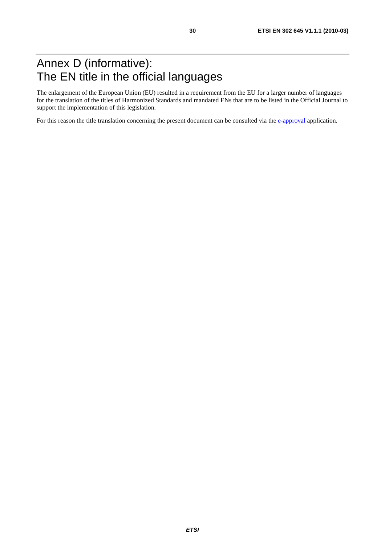## Annex D (informative): The EN title in the official languages

The enlargement of the European Union (EU) resulted in a requirement from the EU for a larger number of languages for the translation of the titles of Harmonized Standards and mandated ENs that are to be listed in the Official Journal to support the implementation of this legislation.

For this reason the title translation concerning the present document can be consulted via the [e-approval](http://portal.etsi.org/eapproval/TranslationListView.aspx?WKI_ID=28872&ACTION_NB=20100312) application.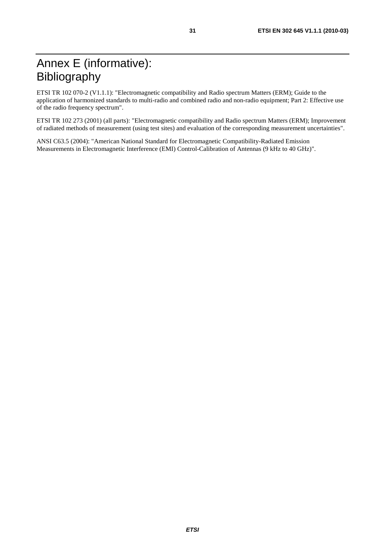## Annex E (informative): Bibliography

ETSI TR 102 070-2 (V1.1.1): "Electromagnetic compatibility and Radio spectrum Matters (ERM); Guide to the application of harmonized standards to multi-radio and combined radio and non-radio equipment; Part 2: Effective use of the radio frequency spectrum".

ETSI TR 102 273 (2001) (all parts): "Electromagnetic compatibility and Radio spectrum Matters (ERM); Improvement of radiated methods of measurement (using test sites) and evaluation of the corresponding measurement uncertainties".

ANSI C63.5 (2004): "American National Standard for Electromagnetic Compatibility-Radiated Emission Measurements in Electromagnetic Interference (EMI) Control-Calibration of Antennas (9 kHz to 40 GHz)".